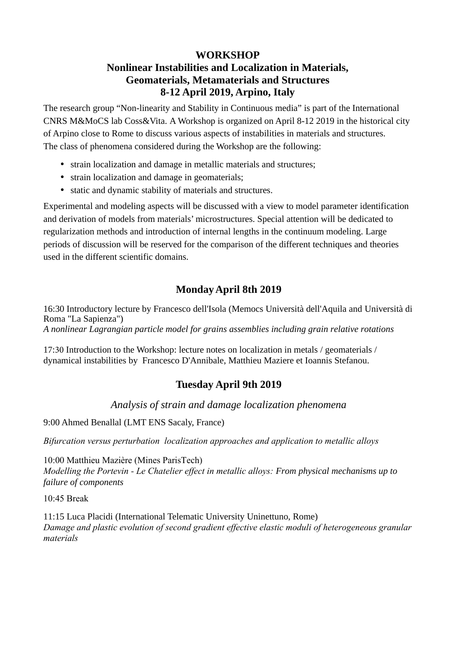## **WORKSHOP**

# **Nonlinear Instabilities and Localization in Materials, Geomaterials, Metamaterials and Structures 8-12 April 2019, Arpino, Italy**

The research group "Non-linearity and Stability in Continuous media" is part of the International CNRS M&MoCS lab Coss&Vita. A Workshop is organized on April 8-12 2019 in the historical city of Arpino close to Rome to discuss various aspects of instabilities in materials and structures. The class of phenomena considered during the Workshop are the following:

- strain localization and damage in metallic materials and structures;
- strain localization and damage in geomaterials;
- static and dynamic stability of materials and structures.

Experimental and modeling aspects will be discussed with a view to model parameter identification and derivation of models from materials' microstructures. Special attention will be dedicated to regularization methods and introduction of internal lengths in the continuum modeling. Large periods of discussion will be reserved for the comparison of the different techniques and theories used in the different scientific domains.

# **Monday April 8th 2019**

16:30 Introductory lecture by Francesco dell'Isola (Memocs Università dell'Aquila and Università di Roma "La Sapienza") *A nonlinear Lagrangian particle model for grains assemblies including grain relative rotations*

17:30 Introduction to the Workshop: lecture notes on localization in metals / geomaterials / dynamical instabilities by Francesco D'Annibale, Matthieu Maziere et Ioannis Stefanou.

## **Tuesday April 9th 2019**

*Analysis of strain and damage localization phenomena*

9:00 Ahmed Benallal (LMT ENS Sacaly, France)

*Bifurcation versus perturbation localization approaches and application to metallic alloys*

10:00 Matthieu Mazière (Mines ParisTech) *Modelling the Portevin - Le Chatelier effect in metallic alloys: From physical mechanisms up to failure of components*

10:45 Break

11:15 Luca Placidi (International Telematic University Uninettuno, Rome) *Damage and plastic evolution of second gradient effective elastic moduli of heterogeneous granular materials*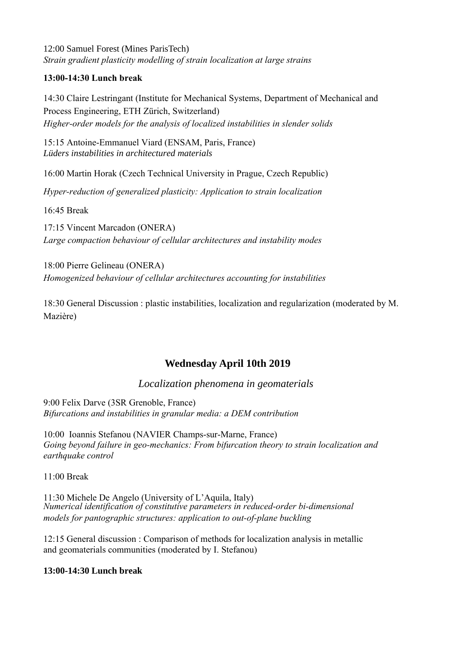12:00 Samuel Forest (Mines ParisTech) *Strain gradient plasticity modelling of strain localization at large strains*

### **13:00-14:30 Lunch break**

14:30 Claire Lestringant (Institute for Mechanical Systems, Department of Mechanical and Process Engineering, ETH Zürich, Switzerland) *Higher-order models for the analysis of localized instabilities in slender solids*

15:15 Antoine-Emmanuel Viard (ENSAM, Paris, France) *Lüders instabilities in architectured materials*

16:00 Martin Horak (Czech Technical University in Prague, Czech Republic)

*Hyper-reduction of generalized plasticity: Application to strain localization* 

16:45 Break

17:15 Vincent Marcadon (ONERA) *Large compaction behaviour of cellular architectures and instability modes*

18:00 Pierre Gelineau (ONERA) *Homogenized behaviour of cellular architectures accounting for instabilities*

18:30 General Discussion : plastic instabilities, localization and regularization (moderated by M. Mazière)

## **Wednesday April 10th 2019**

## *Localization phenomena in geomaterials*

9:00 Felix Darve (3SR Grenoble, France) *Bifurcations and instabilities in granular media: a DEM contribution*

10:00 Ioannis Stefanou (NAVIER Champs-sur-Marne, France) *Going beyond failure in geo-mechanics: From bifurcation theory to strain localization and earthquake control*

11:00 Break

11:30 Michele De Angelo (University of L'Aquila, Italy) *Numerical identification of constitutive parameters in reduced-order bi-dimensional models for pantographic structures: application to out-of-plane buckling*

12:15 General discussion : Comparison of methods for localization analysis in metallic and geomaterials communities (moderated by I. Stefanou)

#### **13:00-14:30 Lunch break**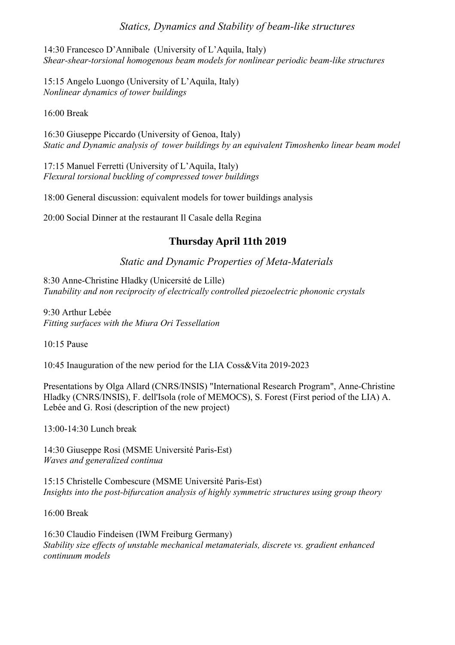### *Statics, Dynamics and Stability of beam-like structures*

14:30 Francesco D'Annibale (University of L'Aquila, Italy) *Shear-shear-torsional homogenous beam models for nonlinear periodic beam-like structures*

15:15 Angelo Luongo (University of L'Aquila, Italy) *Nonlinear dynamics of tower buildings*

16:00 Break

16:30 Giuseppe Piccardo (University of Genoa, Italy) *Static and Dynamic analysis of tower buildings by an equivalent Timoshenko linear beam model*

17:15 Manuel Ferretti (University of L'Aquila, Italy) *Flexural torsional buckling of compressed tower buildings*

18:00 General discussion: equivalent models for tower buildings analysis

20:00 Social Dinner at the restaurant Il Casale della Regina

## **Thursday April 11th 2019**

### *Static and Dynamic Properties of Meta-Materials*

8:30 Anne-Christine Hladky (Unicersité de Lille) *Tunability and non reciprocity of electrically controlled piezoelectric phononic crystals*

9:30 Arthur Lebée *Fitting surfaces with the Miura Ori Tessellation*

10:15 Pause

10:45 Inauguration of the new period for the LIA Coss&Vita 2019-2023

Presentations by Olga Allard (CNRS/INSIS) "International Research Program", Anne-Christine Hladky (CNRS/INSIS), F. dell'Isola (role of MEMOCS), S. Forest (First period of the LIA) A. Lebée and G. Rosi (description of the new project)

13:00-14:30 Lunch break

14:30 Giuseppe Rosi (MSME Université Paris-Est) *Waves and generalized continua*

15:15 Christelle Combescure (MSME Université Paris-Est) *Insights into the post-bifurcation analysis of highly symmetric structures using group theory*

16:00 Break

16:30 Claudio Findeisen (IWM Freiburg Germany) *Stability size effects of unstable mechanical metamaterials, discrete vs. gradient enhanced continuum models*